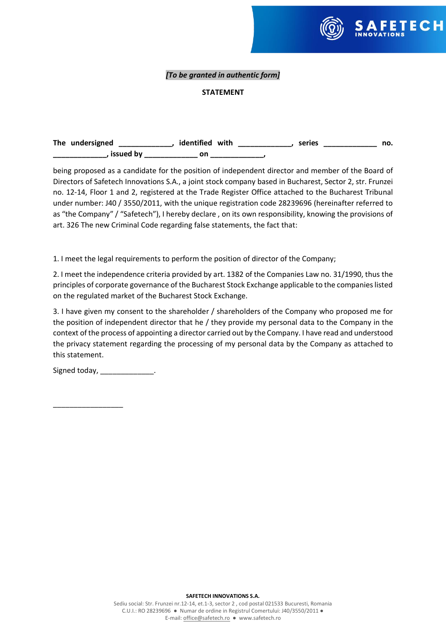

# *[To be granted in authentic form]*

## **STATEMENT**

| The undersigned | identified with |  | series | no. |
|-----------------|-----------------|--|--------|-----|
| issued by       | on              |  |        |     |

being proposed as a candidate for the position of independent director and member of the Board of Directors of Safetech Innovations S.A., a joint stock company based in Bucharest, Sector 2, str. Frunzei no. 12-14, Floor 1 and 2, registered at the Trade Register Office attached to the Bucharest Tribunal under number: J40 / 3550/2011, with the unique registration code 28239696 (hereinafter referred to as "the Company" / "Safetech"), I hereby declare , on its own responsibility, knowing the provisions of art. 326 The new Criminal Code regarding false statements, the fact that:

1. I meet the legal requirements to perform the position of director of the Company;

2. I meet the independence criteria provided by art. 1382 of the Companies Law no. 31/1990, thus the principles of corporate governance of the Bucharest Stock Exchange applicable to the companieslisted on the regulated market of the Bucharest Stock Exchange.

3. I have given my consent to the shareholder / shareholders of the Company who proposed me for the position of independent director that he / they provide my personal data to the Company in the context of the process of appointing a director carried out by the Company. I have read and understood the privacy statement regarding the processing of my personal data by the Company as attached to this statement.

Signed today, \_\_\_\_\_\_\_\_\_\_\_\_\_.

\_\_\_\_\_\_\_\_\_\_\_\_\_\_\_\_\_